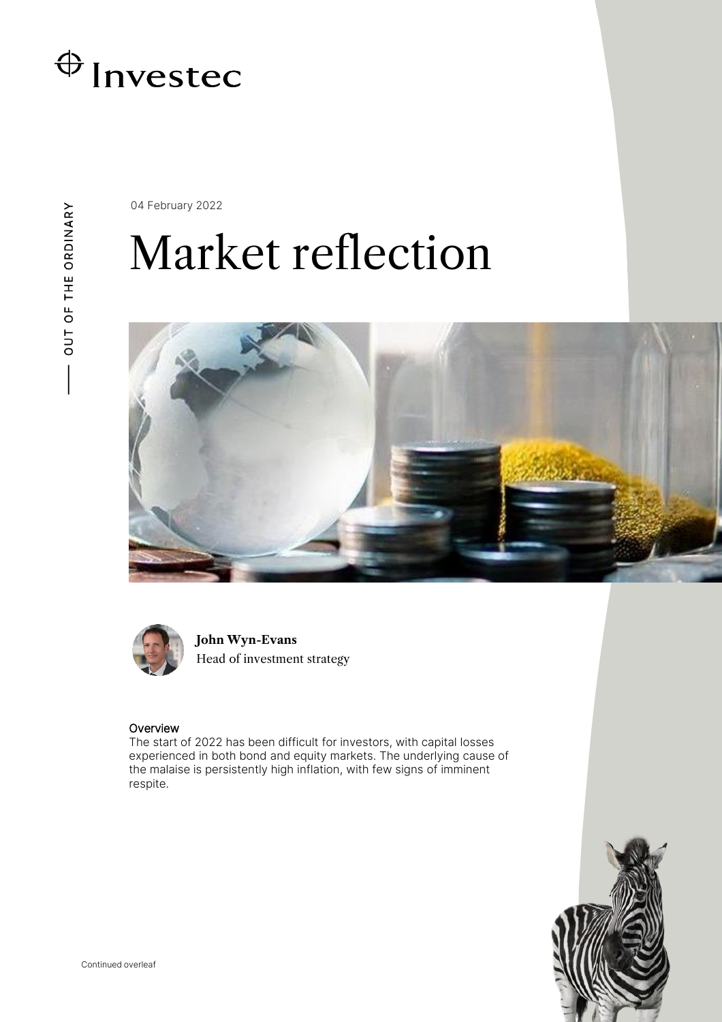

04 February 2022

## Market reflection





**John Wyn-Evans** Head of investment strategy

## Overview

The start of 2022 has been difficult for investors, with capital losses experienced in both bond and equity markets. The underlying cause of the malaise is persistently high inflation, with few signs of imminent respite.

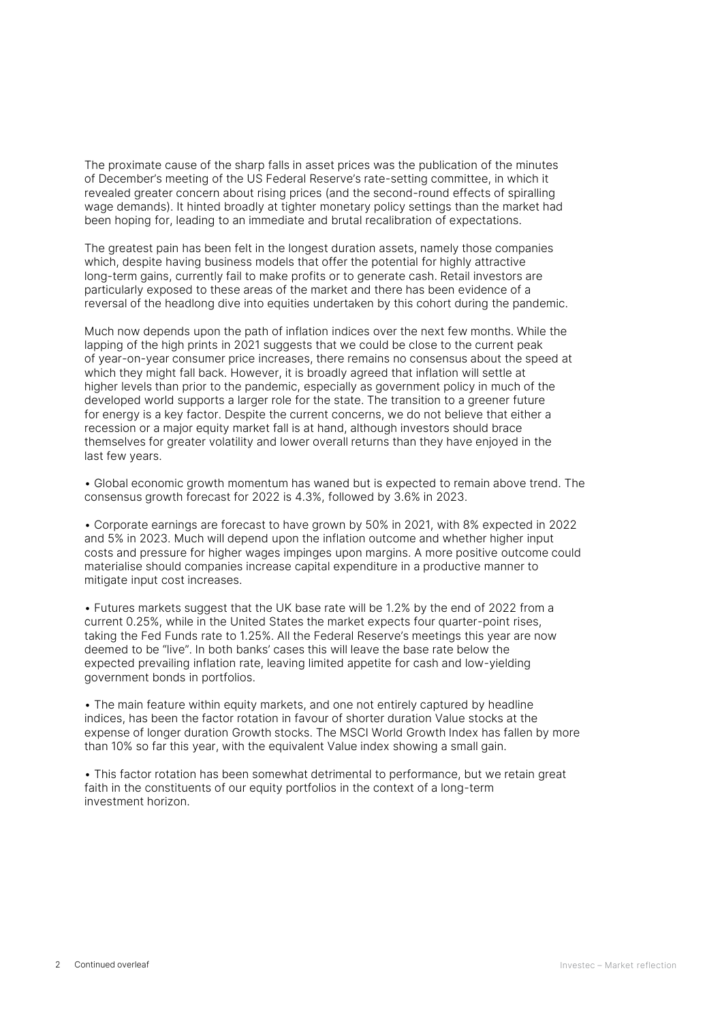The proximate cause of the sharp falls in asset prices was the publication of the minutes of December's meeting of the US Federal Reserve's rate-setting committee, in which it revealed greater concern about rising prices (and the second-round effects of spiralling wage demands). It hinted broadly at tighter monetary policy settings than the market had been hoping for, leading to an immediate and brutal recalibration of expectations.

The greatest pain has been felt in the longest duration assets, namely those companies which, despite having business models that offer the potential for highly attractive long-term gains, currently fail to make profits or to generate cash. Retail investors are particularly exposed to these areas of the market and there has been evidence of a reversal of the headlong dive into equities undertaken by this cohort during the pandemic.

Much now depends upon the path of inflation indices over the next few months. While the lapping of the high prints in 2021 suggests that we could be close to the current peak of year-on-year consumer price increases, there remains no consensus about the speed at which they might fall back. However, it is broadly agreed that inflation will settle at higher levels than prior to the pandemic, especially as government policy in much of the developed world supports a larger role for the state. The transition to a greener future for energy is a key factor. Despite the current concerns, we do not believe that either a recession or a major equity market fall is at hand, although investors should brace themselves for greater volatility and lower overall returns than they have enjoyed in the last few years.

• Global economic growth momentum has waned but is expected to remain above trend. The consensus growth forecast for 2022 is 4.3%, followed by 3.6% in 2023.

• Corporate earnings are forecast to have grown by 50% in 2021, with 8% expected in 2022 and 5% in 2023. Much will depend upon the inflation outcome and whether higher input costs and pressure for higher wages impinges upon margins. A more positive outcome could materialise should companies increase capital expenditure in a productive manner to mitigate input cost increases.

• Futures markets suggest that the UK base rate will be 1.2% by the end of 2022 from a current 0.25%, while in the United States the market expects four quarter-point rises, taking the Fed Funds rate to 1.25%. All the Federal Reserve's meetings this year are now deemed to be "live". In both banks' cases this will leave the base rate below the expected prevailing inflation rate, leaving limited appetite for cash and low-yielding government bonds in portfolios.

• The main feature within equity markets, and one not entirely captured by headline indices, has been the factor rotation in favour of shorter duration Value stocks at the expense of longer duration Growth stocks. The MSCI World Growth Index has fallen by more than 10% so far this year, with the equivalent Value index showing a small gain.

• This factor rotation has been somewhat detrimental to performance, but we retain great faith in the constituents of our equity portfolios in the context of a long-term investment horizon.